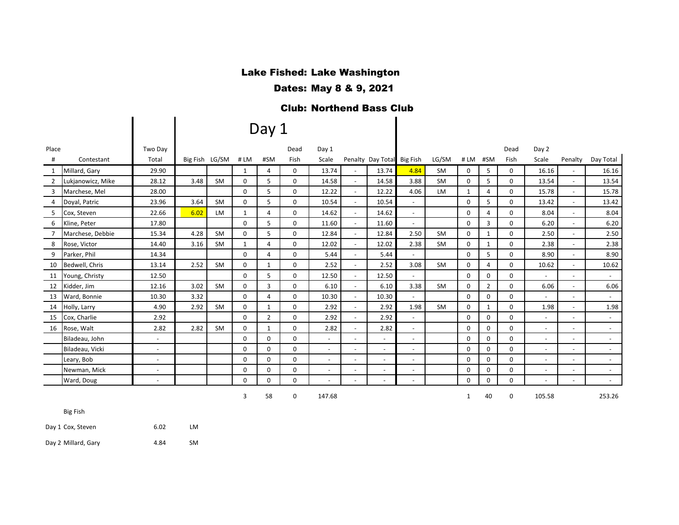# Lake Fished: Lake Washington

Dates: May 8 & 9, 2021

## Club: Northend Bass Club

# Day 1

| Place          |                   | Two Day                  |                |           |              |                | Dead        | Day 1                    |                          |                            |                          |           |              |                | Dead     | Day 2                    |                          |           |
|----------------|-------------------|--------------------------|----------------|-----------|--------------|----------------|-------------|--------------------------|--------------------------|----------------------------|--------------------------|-----------|--------------|----------------|----------|--------------------------|--------------------------|-----------|
| #              | Contestant        | Total                    | Big Fish LG/SM |           | #LM          | #SM            | Fish        | Scale                    |                          | Penalty Day Total Big Fish |                          | LG/SM     | #LM          | #SM            | Fish     | Scale                    | Penalty                  | Day Total |
| 1              | Millard, Gary     | 29.90                    |                |           | $\mathbf{1}$ | 4              | 0           | 13.74                    | $\sim$                   | 13.74                      | 4.84                     | SM        | 0            | 5              | 0        | 16.16                    | $\overline{\phantom{a}}$ | 16.16     |
| $\overline{2}$ | Lukjanowicz, Mike | 28.12                    | 3.48           | <b>SM</b> | 0            | 5              | 0           | 14.58                    | $\overline{\phantom{a}}$ | 14.58                      | 3.88                     | <b>SM</b> | 0            | 5              | 0        | 13.54                    |                          | 13.54     |
| 3              | Marchese, Mel     | 28.00                    |                |           | $\Omega$     | 5              | $\Omega$    | 12.22                    | $\sim$                   | 12.22                      | 4.06                     | <b>LM</b> | $\mathbf{1}$ | 4              | 0        | 15.78                    |                          | 15.78     |
| 4              | Doyal, Patric     | 23.96                    | 3.64           | <b>SM</b> | 0            | 5              | $\Omega$    | 10.54                    | $\sim$                   | 10.54                      | $\sim$                   |           | $\Omega$     | 5              | 0        | 13.42                    | $\sim$                   | 13.42     |
| 5              | Cox, Steven       | 22.66                    | 6.02           | <b>LM</b> | $\mathbf{1}$ | 4              | 0           | 14.62                    | $\sim$                   | 14.62                      | $\sim$                   |           | 0            | 4              | 0        | 8.04                     |                          | 8.04      |
| 6              | Kline, Peter      | 17.80                    |                |           | $\Omega$     | 5              | 0           | 11.60                    | $\sim$                   | 11.60                      | $\sim$                   |           | $\Omega$     | 3              | $\Omega$ | 6.20                     |                          | 6.20      |
|                | Marchese, Debbie  | 15.34                    | 4.28           | <b>SM</b> | 0            | 5              | 0           | 12.84                    | $\blacksquare$           | 12.84                      | 2.50                     | <b>SM</b> | 0            | 1              | 0        | 2.50                     |                          | 2.50      |
| 8              | Rose, Victor      | 14.40                    | 3.16           | <b>SM</b> | $\mathbf{1}$ | 4              | $\mathbf 0$ | 12.02                    | $\sim$                   | 12.02                      | 2.38                     | SM        | 0            | $\mathbf{1}$   | 0        | 2.38                     | $\overline{\phantom{a}}$ | 2.38      |
| 9              | Parker, Phil      | 14.34                    |                |           | $\Omega$     | 4              | 0           | 5.44                     | $\overline{\phantom{a}}$ | 5.44                       | $\sim$                   |           | $\Omega$     | 5              | 0        | 8.90                     |                          | 8.90      |
| 10             | Bedwell, Chris    | 13.14                    | 2.52           | <b>SM</b> | 0            | $\mathbf{1}$   | 0           | 2.52                     | $\sim$                   | 2.52                       | 3.08                     | <b>SM</b> | 0            | 4              | 0        | 10.62                    | $\sim$                   | 10.62     |
| 11             | Young, Christy    | 12.50                    |                |           | $\Omega$     | 5              | $\Omega$    | 12.50                    | $\sim$                   | 12.50                      | $\sim$                   |           | $\Omega$     | 0              | 0        | $\overline{\phantom{a}}$ |                          | $\sim$    |
| 12             | Kidder, Jim       | 12.16                    | 3.02           | <b>SM</b> | $\Omega$     | 3              | $\Omega$    | 6.10                     | $\sim$                   | 6.10                       | 3.38                     | <b>SM</b> | $\Omega$     | $\overline{2}$ | 0        | 6.06                     |                          | 6.06      |
| 13             | Ward, Bonnie      | 10.30                    | 3.32           |           | $\mathbf 0$  | $\overline{4}$ | 0           | 10.30                    | $\sim$                   | 10.30                      | $\sim$                   |           | 0            | 0              | 0        | $\overline{\phantom{a}}$ |                          | $\sim$    |
| 14             | Holly, Larry      | 4.90                     | 2.92           | <b>SM</b> | 0            | $\mathbf{1}$   | 0           | 2.92                     | $\blacksquare$           | 2.92                       | 1.98                     | <b>SM</b> | 0            | $\mathbf{1}$   | 0        | 1.98                     |                          | 1.98      |
| 15             | Cox, Charlie      | 2.92                     |                |           | 0            | $\overline{2}$ | 0           | 2.92                     | $\blacksquare$           | 2.92                       | $\overline{\phantom{a}}$ |           | 0            | 0              | 0        | $-$                      |                          | $\sim$    |
| 16             | Rose, Walt        | 2.82                     | 2.82           | SM        | 0            | $\mathbf{1}$   | 0           | 2.82                     | $\blacksquare$           | 2.82                       | $\sim$                   |           | 0            | 0              | 0        | $\blacksquare$           |                          | $\sim$    |
|                | Biladeau, John    | $\overline{\phantom{a}}$ |                |           | 0            | $\Omega$       | 0           | $\sim$                   | $\sim$                   | $\overline{\phantom{a}}$   | $\overline{\phantom{a}}$ |           | 0            | 0              | 0        | $\overline{\phantom{a}}$ | $\overline{a}$           | $\sim$    |
|                | Biladeau, Vicki   | $\overline{\phantom{a}}$ |                |           | 0            | 0              | 0           | $\sim$                   | $\overline{\phantom{a}}$ | $\overline{\phantom{a}}$   | $\sim$                   |           | 0            | 0              | 0        | $\blacksquare$           |                          | $\sim$    |
|                | Leary, Bob        | $\overline{\phantom{a}}$ |                |           | $\Omega$     | $\Omega$       | 0           | $\overline{\phantom{a}}$ | $\sim$                   | $\overline{\phantom{a}}$   | $\sim$                   |           | 0            | 0              | 0        | $\overline{\phantom{a}}$ |                          | $\sim$    |
|                | Newman, Mick      | $\overline{\phantom{a}}$ |                |           | $\Omega$     | $\Omega$       | $\Omega$    | $\sim$                   | $\overline{\phantom{a}}$ | $\overline{\phantom{a}}$   | $\sim$                   |           | 0            | 0              | 0        | $-$                      |                          | $\sim$    |
|                | Ward, Doug        | $\overline{\phantom{a}}$ |                |           | 0            | $\Omega$       | 0           |                          | $\overline{\phantom{a}}$ | $\sim$                     | $\sim$                   |           | 0            | 0              | 0        |                          |                          | $\sim$    |
|                |                   |                          |                |           |              |                |             |                          |                          |                            |                          |           |              |                |          |                          |                          |           |

3 58 0 147.68

1 40 0 105.58 253.26

Big Fish

Day 1 Cox, Steven 6.02 LM

 $\vert \ \ \vert$ 

Day 2 Millard, Gary 1988 1991 1208 4.84 SM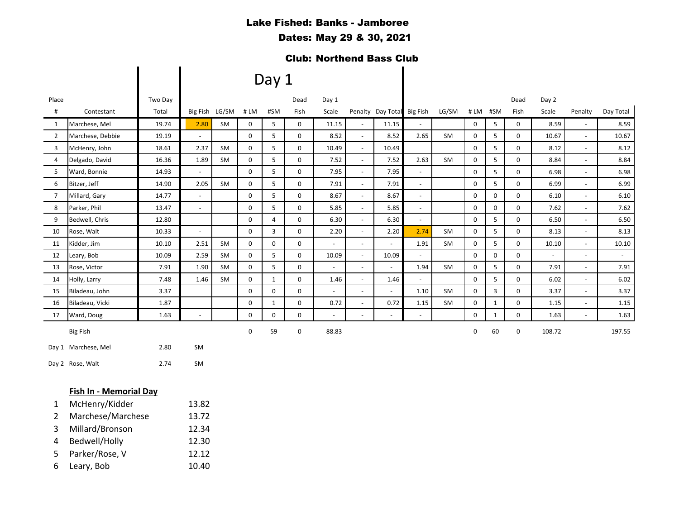## Lake Fished: Banks - Jamboree

### Dates: May 29 & 30, 2021

## Club: Northend Bass Club

|                |                        |         |                          |           |             | Day 1          |             |                          |                          |                            |                          |       |                     |              |      |                          |                          |                          |
|----------------|------------------------|---------|--------------------------|-----------|-------------|----------------|-------------|--------------------------|--------------------------|----------------------------|--------------------------|-------|---------------------|--------------|------|--------------------------|--------------------------|--------------------------|
| Place          |                        | Two Day |                          |           |             |                | Dead        | Day 1                    |                          |                            |                          |       |                     |              | Dead | Day 2                    |                          |                          |
| #              | Contestant             | Total   | Big Fish LG/SM # LM      |           |             | #SM            | Fish        | Scale                    |                          | Penalty Day Total Big Fish |                          | LG/SM |                     | # LM #SM     | Fish | Scale                    | Penalty                  | Day Total                |
| 1              | Marchese, Mel          | 19.74   | 2.80                     | SM        | 0           | 5              | $\mathbf 0$ | 11.15                    | $\overline{\phantom{a}}$ | 11.15                      | $\overline{\phantom{a}}$ |       | 0                   | 5            | 0    | 8.59                     | $\overline{\phantom{a}}$ | 8.59                     |
| $\overline{2}$ | Marchese, Debbie       | 19.19   | $\overline{\phantom{a}}$ |           | 0           | 5              | 0           | 8.52                     | $\overline{\phantom{a}}$ | 8.52                       | 2.65                     | SM    | $\mathbf 0$         | 5            | 0    | 10.67                    | $\overline{\phantom{a}}$ | 10.67                    |
| 3              | McHenry, John          | 18.61   | 2.37                     | <b>SM</b> | $\mathbf 0$ | 5              | $\mathbf 0$ | 10.49                    | $\Box$                   | 10.49                      |                          |       | $\mathbf 0$         | 5            | 0    | 8.12                     | $\blacksquare$           | 8.12                     |
| 4              | Delgado, David         | 16.36   | 1.89                     | SM        | 0           | 5              | 0           | 7.52                     | $\blacksquare$           | 7.52                       | 2.63                     | SM    | 0                   | 5            | 0    | 8.84                     | $\overline{\phantom{a}}$ | 8.84                     |
| 5              | Ward, Bonnie           | 14.93   | $\overline{\phantom{a}}$ |           | $\mathbf 0$ | 5              | $\mathbf 0$ | 7.95                     | $\omega$                 | 7.95                       | $\overline{\phantom{a}}$ |       | $\mathsf{O}\xspace$ | 5            | 0    | 6.98                     | $\overline{\phantom{a}}$ | 6.98                     |
| 6              | Bitzer, Jeff           | 14.90   | 2.05                     | <b>SM</b> | $\mathbf 0$ | 5              | 0           | 7.91                     | $\Box$                   | 7.91                       | $\blacksquare$           |       | $\mathbf 0$         | 5            | 0    | 6.99                     | $\Box$                   | 6.99                     |
| $\overline{7}$ | Millard, Gary          | 14.77   | $\blacksquare$           |           | 0           | 5              | 0           | 8.67                     | $\blacksquare$           | 8.67                       | $\blacksquare$           |       | 0                   | 0            | 0    | 6.10                     | $\blacksquare$           | 6.10                     |
| 8              | Parker, Phil           | 13.47   | $\blacksquare$           |           | $\mathbf 0$ | 5              | $\mathbf 0$ | 5.85                     | $\blacksquare$           | 5.85                       | $\overline{\phantom{a}}$ |       | $\mathbf 0$         | $\mathbf 0$  | 0    | 7.62                     | $\blacksquare$           | 7.62                     |
| 9              | Bedwell, Chris         | 12.80   |                          |           | 0           | $\overline{4}$ | 0           | 6.30                     | $\overline{\phantom{a}}$ | 6.30                       | $\overline{a}$           |       | 0                   | 5            | 0    | 6.50                     | $\overline{\phantom{a}}$ | 6.50                     |
| 10             | Rose, Walt             | 10.33   | $\blacksquare$           |           | 0           | 3              | 0           | 2.20                     | $\overline{\phantom{a}}$ | 2.20                       | 2.74                     | SM    | 0                   | 5            | 0    | 8.13                     | $\overline{\phantom{a}}$ | 8.13                     |
| 11             | Kidder, Jim            | 10.10   | 2.51                     | SM        | $\mathbf 0$ | 0              | $\mathbf 0$ |                          | $\blacksquare$           | $\overline{\phantom{a}}$   | 1.91                     | SM    | $\mathbf 0$         | 5            | 0    | 10.10                    | $\blacksquare$           | 10.10                    |
| 12             | Leary, Bob             | 10.09   | 2.59                     | <b>SM</b> | $\mathbf 0$ | 5              | 0           | 10.09                    | $\overline{\phantom{a}}$ | 10.09                      | $\blacksquare$           |       | $\mathbf 0$         | 0            | 0    | $\overline{\phantom{a}}$ | $\blacksquare$           | $\overline{\phantom{a}}$ |
| 13             | Rose, Victor           | 7.91    | 1.90                     | SM        | 0           | 5              | $\mathbf 0$ |                          | $\blacksquare$           |                            | 1.94                     | SM    | 0                   | 5            | 0    | 7.91                     | $\blacksquare$           | 7.91                     |
| 14             | Holly, Larry           | 7.48    | 1.46                     | SM        | 0           | $\mathbf{1}$   | 0           | 1.46                     | $\blacksquare$           | 1.46                       | $\blacksquare$           |       | $\mathbf 0$         | 5            | 0    | 6.02                     | $\blacksquare$           | 6.02                     |
| 15             | Biladeau, John         | 3.37    |                          |           | 0           | 0              | 0           |                          | $\overline{\phantom{a}}$ |                            | 1.10                     | SM    | 0                   | 3            | 0    | 3.37                     | $\overline{\phantom{a}}$ | 3.37                     |
| 16             | Biladeau, Vicki        | 1.87    |                          |           | 0           | $\mathbf{1}$   | 0           | 0.72                     | $\blacksquare$           | 0.72                       | 1.15                     | SM    | 0                   | $\mathbf{1}$ | 0    | 1.15                     | $\blacksquare$           | 1.15                     |
| 17             | Ward, Doug             | 1.63    | $\blacksquare$           |           | 0           | 0              | 0           | $\overline{\phantom{a}}$ | $\blacksquare$           | $\overline{\phantom{a}}$   | $\blacksquare$           |       | 0                   | $\mathbf{1}$ | 0    | 1.63                     | $\overline{\phantom{a}}$ | 1.63                     |
|                | <b>Big Fish</b>        |         |                          |           | 0           | 59             | 0           | 88.83                    |                          |                            |                          |       | 0                   | 60           | 0    | 108.72                   |                          | 197.55                   |
|                | Day 1 Marchese, Mel    | 2.80    | SM                       |           |             |                |             |                          |                          |                            |                          |       |                     |              |      |                          |                          |                          |
|                | Day 2 Rose, Walt       | 2.74    | SM                       |           |             |                |             |                          |                          |                            |                          |       |                     |              |      |                          |                          |                          |
|                | Fish In - Memorial Day |         |                          |           |             |                |             |                          |                          |                            |                          |       |                     |              |      |                          |                          |                          |
| 1              | McHenry/Kidder         |         | 13.82                    |           |             |                |             |                          |                          |                            |                          |       |                     |              |      |                          |                          |                          |

- 2 Marchese/Marchese 13.72
- Millard/Bronson 12.34
- Bedwell/Holly 12.30
- Parker/Rose, V 12.12
- Leary, Bob 10.40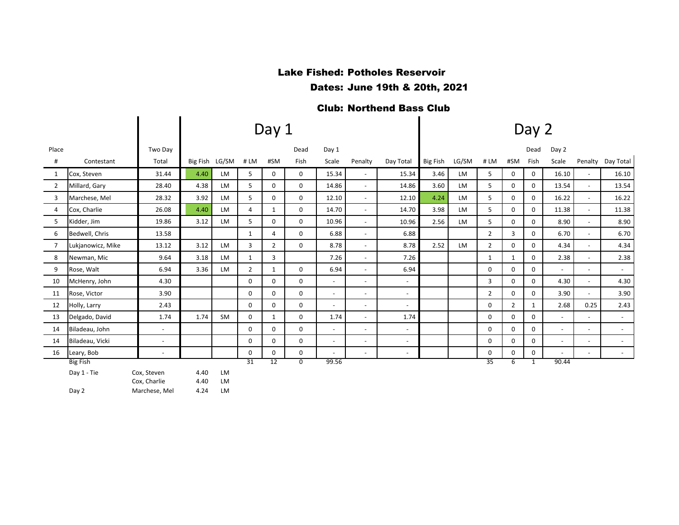## Lake Fished: Potholes Reservoir

Dates: June 19th & 20th, 2021

# Club: Northend Bass Club

|                   |                          |                                              | Day 2        |                            |                |             |                          |                          |                          |                 |           |                |                |              |                          |                          |                          |
|-------------------|--------------------------|----------------------------------------------|--------------|----------------------------|----------------|-------------|--------------------------|--------------------------|--------------------------|-----------------|-----------|----------------|----------------|--------------|--------------------------|--------------------------|--------------------------|
|                   | Two Day                  |                                              |              |                            |                | Dead        | Day 1                    |                          |                          |                 |           |                |                | Dead         | Day 2                    |                          |                          |
| Contestant        | Total                    |                                              |              | #LM                        | #SM            | Fish        | Scale                    | Penalty                  | Day Total                | <b>Big Fish</b> | LG/SM     | #LM            | #SM            | Fish         | Scale                    | Penalty                  | Day Total                |
| Cox, Steven       | 31.44                    | 4.40                                         | <b>LM</b>    | 5                          | $\mathbf{0}$   | 0           | 15.34                    | $\blacksquare$           | 15.34                    | 3.46            | LM        | 5              | 0              | 0            | 16.10                    | $\sim$                   | 16.10                    |
| Millard, Gary     | 28.40                    | 4.38                                         | <b>LM</b>    | 5                          | 0              | 0           | 14.86                    | $\blacksquare$           | 14.86                    | 3.60            | LM        | 5              | 0              | 0            | 13.54                    | $\sim$                   | 13.54                    |
| Marchese, Mel     | 28.32                    | 3.92                                         | <b>LM</b>    | 5                          | $\mathbf 0$    | 0           | 12.10                    | $\overline{\phantom{a}}$ | 12.10                    | 4.24            | <b>LM</b> | 5              | 0              | 0            | 16.22                    | $\sim$                   | 16.22                    |
| Cox, Charlie      | 26.08                    | 4.40                                         | LM           | $\overline{4}$             | $\mathbf{1}$   | $\mathbf 0$ | 14.70                    | $\sim$                   | 14.70                    | 3.98            | <b>LM</b> | 5              | $\mathbf 0$    | 0            | 11.38                    | $\overline{\phantom{a}}$ | 11.38                    |
| Kidder, Jim       | 19.86                    | 3.12                                         | <b>LM</b>    | 5                          | 0              | 0           | 10.96                    | $\sim$                   | 10.96                    | 2.56            | LM        | 5              | $\mathbf 0$    | 0            | 8.90                     |                          | 8.90                     |
| Bedwell, Chris    | 13.58                    |                                              |              | $\mathbf{1}$               | 4              | 0           | 6.88                     | $\overline{\phantom{a}}$ | 6.88                     |                 |           | $\overline{2}$ | 3              | 0            | 6.70                     | $\blacksquare$           | 6.70                     |
| Lukjanowicz, Mike | 13.12                    | 3.12                                         | <b>LM</b>    | 3                          | $\overline{2}$ | 0           | 8.78                     | $\overline{\phantom{a}}$ | 8.78                     | 2.52            | LM        | $\overline{2}$ | 0              | $\Omega$     | 4.34                     | $ \,$                    | 4.34                     |
| Newman, Mic       | 9.64                     | 3.18                                         | <b>LM</b>    | $\mathbf{1}$               | 3              |             | 7.26                     | $\blacksquare$           | 7.26                     |                 |           | $\mathbf{1}$   | $\mathbf{1}$   | 0            | 2.38                     |                          | 2.38                     |
| Rose, Walt        | 6.94                     | 3.36                                         | LM           | $\overline{2}$             | 1              | 0           | 6.94                     | $\blacksquare$           | 6.94                     |                 |           | 0              | $\mathbf 0$    | 0            | $\sim$                   | $\overline{\phantom{a}}$ | $\sim$                   |
| McHenry, John     | 4.30                     |                                              |              | 0                          | 0              | 0           | $\overline{\phantom{a}}$ | $\overline{\phantom{a}}$ | $\overline{\phantom{a}}$ |                 |           | 3              | 0              | 0            | 4.30                     |                          | 4.30                     |
| Rose, Victor      | 3.90                     |                                              |              | $\mathbf 0$                | $\mathbf 0$    | $\mathbf 0$ | $\blacksquare$           | $\overline{\phantom{a}}$ | $\overline{\phantom{a}}$ |                 |           | $\overline{2}$ | $\mathbf 0$    | $\Omega$     | 3.90                     |                          | 3.90                     |
| Holly, Larry      | 2.43                     |                                              |              | 0                          | 0              | 0           | $\overline{\phantom{a}}$ | $\overline{\phantom{a}}$ | $\overline{\phantom{a}}$ |                 |           | 0              | $\overline{2}$ | $\mathbf{1}$ | 2.68                     | 0.25                     | 2.43                     |
| Delgado, David    | 1.74                     | 1.74                                         | SM           | $\mathbf 0$                | $\mathbf{1}$   | 0           | 1.74                     | $\blacksquare$           | 1.74                     |                 |           | 0              | $\mathbf 0$    | 0            | $\overline{\phantom{a}}$ | $\sim$                   | $\overline{\phantom{a}}$ |
| Biladeau, John    | $\sim$                   |                                              |              | $\mathbf 0$                | 0              | $\mathbf 0$ | $\sim$                   | $\sim$                   | $\overline{\phantom{a}}$ |                 |           | 0              | $\mathbf 0$    | 0            | $\overline{\phantom{a}}$ | $\sim$                   | $\sim$                   |
| Biladeau, Vicki   | $\sim$                   |                                              |              | 0                          | 0              | 0           | $\overline{\phantom{a}}$ | $\sim$                   | $\sim$                   |                 |           | 0              | $\mathbf 0$    | 0            | $\overline{\phantom{a}}$ | $\overline{\phantom{a}}$ | $\overline{\phantom{a}}$ |
| Leary, Bob        | $\overline{\phantom{a}}$ |                                              |              | 0                          | $\mathbf 0$    | 0           | $\blacksquare$           | $\sim$                   | $\sim$                   |                 |           | 0              | 0              | 0            | $\blacksquare$           | $\overline{\phantom{a}}$ | $\sim$                   |
| <b>Big Fish</b>   |                          |                                              |              |                            |                |             |                          |                          |                          |                 |           |                | 6              | 1            |                          |                          |                          |
| Day 1 - Tie       |                          | 4.40                                         | <b>LM</b>    |                            |                |             |                          |                          |                          |                 |           |                |                |              |                          |                          |                          |
|                   |                          |                                              |              |                            |                |             |                          |                          |                          |                 |           |                |                |              |                          |                          |                          |
|                   | Day 2                    | Cox, Steven<br>Cox, Charlie<br>Marchese, Mel | 4.40<br>4.24 | Big Fish LG/SM<br>LM<br>LM | 31             | 12          | Day 1<br>$\overline{0}$  | 99.56                    |                          |                 |           |                | 35             |              |                          | 90.44                    |                          |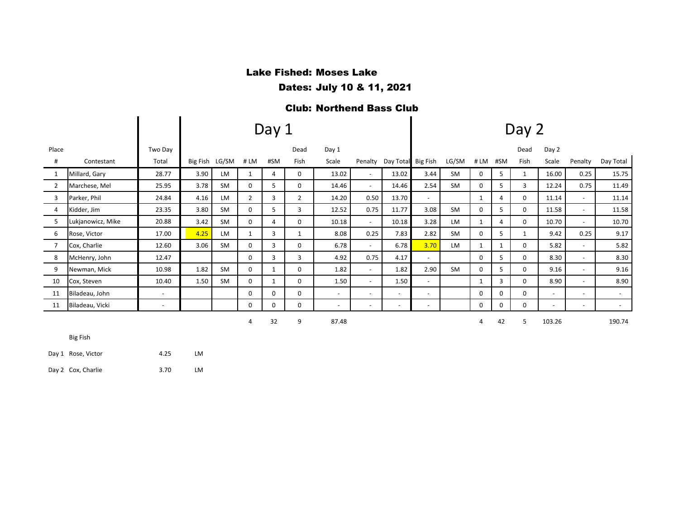#### Lake Fished: Moses Lake

Dates: July 10 & 11, 2021

#### Club: Northend Bass Club

|                |                   |                          |          |           |                | Day 1        |                | Day 2                    |                          |                          |                          |           |          |     |             |                          |                          |           |
|----------------|-------------------|--------------------------|----------|-----------|----------------|--------------|----------------|--------------------------|--------------------------|--------------------------|--------------------------|-----------|----------|-----|-------------|--------------------------|--------------------------|-----------|
| Place          |                   | Two Day                  |          |           |                |              | Dead           | Day 1                    |                          |                          |                          |           |          |     | Dead        | Day 2                    |                          |           |
| #              | Contestant        | Total                    | Big Fish | LG/SM     | #LM            | #SM          | Fish           | Scale                    |                          | Penalty Day Total        | Big Fish                 | LG/SM     | #LM      | #SM | Fish        | Scale                    | Penalty                  | Day Total |
| 1              | Millard, Gary     | 28.77                    | 3.90     | LM.       | $\mathbf{1}$   | 4            | 0              | 13.02                    | $\sim$                   | 13.02                    | 3.44                     | <b>SM</b> | 0        | 5   |             | 16.00                    | 0.25                     | 15.75     |
| 2              | Marchese, Mel     | 25.95                    | 3.78     | SM        | 0              | 5            | 0              | 14.46                    | $\overline{\phantom{a}}$ | 14.46                    | 2.54                     | <b>SM</b> | 0        | 5   | 3           | 12.24                    | 0.75                     | 11.49     |
| 3              | Parker, Phil      | 24.84                    | 4.16     | LM        | $\overline{2}$ | 3            | $\overline{2}$ | 14.20                    | 0.50                     | 13.70                    | $\overline{a}$           |           | 1        | 4   | 0           | 11.14                    | $\overline{\phantom{a}}$ | 11.14     |
| 4              | Kidder, Jim       | 23.35                    | 3.80     | <b>SM</b> | 0              | 5            | 3              | 12.52                    | 0.75                     | 11.77                    | 3.08                     | <b>SM</b> | 0        | 5   | 0           | 11.58                    | $\overline{\phantom{a}}$ | 11.58     |
| 5              | Lukjanowicz, Mike | 20.88                    | 3.42     | <b>SM</b> | $\Omega$       | 4            | $\Omega$       | 10.18                    | $\sim$                   | 10.18                    | 3.28                     | LM        | 1        | 4   | 0           | 10.70                    | $\overline{\phantom{a}}$ | 10.70     |
| 6              | Rose, Victor      | 17.00                    | 4.25     | LM.       | $\mathbf{1}$   | 3            | 1              | 8.08                     | 0.25                     | 7.83                     | 2.82                     | <b>SM</b> | $\Omega$ | 5   | $\mathbf 1$ | 9.42                     | 0.25                     | 9.17      |
| $\overline{7}$ | Cox, Charlie      | 12.60                    | 3.06     | <b>SM</b> | 0              | 3            | 0              | 6.78                     | $\sim$                   | 6.78                     | 3.70                     | LM        | 1        | 1   | 0           | 5.82                     | $\overline{\phantom{a}}$ | 5.82      |
| 8              | McHenry, John     | 12.47                    |          |           | 0              | 3            | 3              | 4.92                     | 0.75                     | 4.17                     | $\overline{\phantom{a}}$ |           | $\Omega$ | 5   | 0           | 8.30                     | $\blacksquare$           | 8.30      |
| 9              | Newman, Mick      | 10.98                    | 1.82     | <b>SM</b> | 0              | $\mathbf{1}$ | 0              | 1.82                     | $\sim$                   | 1.82                     | 2.90                     | <b>SM</b> | $\Omega$ | 5.  | 0           | 9.16                     | $\blacksquare$           | 9.16      |
| 10             | Cox, Steven       | 10.40                    | 1.50     | SM        | 0              | $\mathbf{1}$ | 0              | 1.50                     | $\sim$                   | 1.50                     | $\overline{a}$           |           | 1        | 3   | 0           | 8.90                     | $\overline{\phantom{a}}$ | 8.90      |
| 11             | Biladeau, John    | $\overline{\phantom{a}}$ |          |           | 0              | $\Omega$     | 0              | $\sim$                   | $\blacksquare$           | $\sim$                   | $\overline{a}$           |           | $\Omega$ | 0   | 0           | $\blacksquare$           | $\overline{a}$           | $\sim$    |
| 11             | Biladeau, Vicki   | $\overline{\phantom{a}}$ |          |           | 0              | 0            | 0              | $\overline{\phantom{a}}$ | $\overline{\phantom{a}}$ | $\overline{\phantom{a}}$ | $\overline{\phantom{a}}$ |           | 0        | 0   | 0           | $\overline{\phantom{a}}$ | $\overline{\phantom{a}}$ | $\sim$    |
|                |                   |                          |          |           | 4              | 32           | 9              | 87.48                    |                          |                          |                          |           | 4        | 42  | 5           | 103.26                   |                          | 190.74    |

4 32 9 87.48

Big Fish

Day 1 Rose, Victor 4.25 LM

Day 2 Cox, Charlie 3.70 LM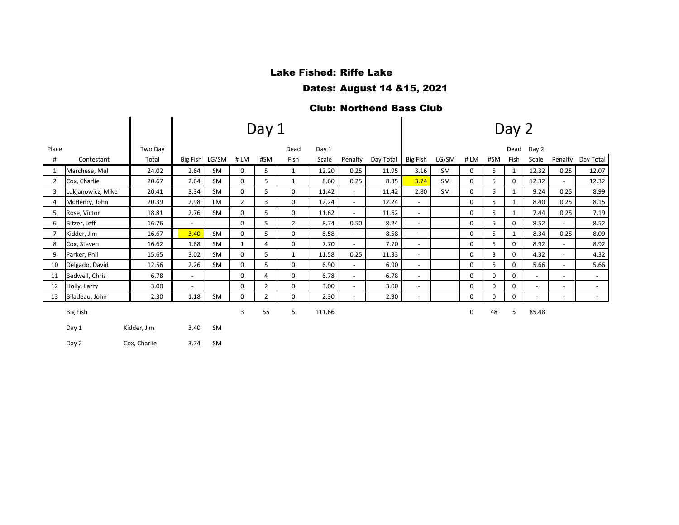# Lake Fished: Riffe Lake

#### Dates: August 14 &15, 2021

# Club: Northend Bass Club

|                |                   |              | Day 1                    |                |                |                |                |        |                          |           |                          |           |     | Day 2    |              |                          |                          |           |  |  |  |  |
|----------------|-------------------|--------------|--------------------------|----------------|----------------|----------------|----------------|--------|--------------------------|-----------|--------------------------|-----------|-----|----------|--------------|--------------------------|--------------------------|-----------|--|--|--|--|
| Place          |                   | Two Day      |                          |                |                |                | Dead           | Day 1  |                          |           |                          |           |     |          | Dead         | Day 2                    |                          |           |  |  |  |  |
| #              | Contestant        | Total        |                          | Big Fish LG/SM | #LM            | #SM            | Fish           | Scale  | Penalty                  | Day Total | Big Fish                 | LG/SM     | #LM | #SM      | Fish         | Scale                    | Penalty                  | Day Total |  |  |  |  |
| $\mathbf{1}$   | Marchese, Mel     | 24.02        | 2.64                     | SM             | 0              | 5              | $\mathbf{1}$   | 12.20  | 0.25                     | 11.95     | 3.16                     | <b>SM</b> | 0   | 5        | 1            | 12.32                    | 0.25                     | 12.07     |  |  |  |  |
| $\overline{2}$ | Cox, Charlie      | 20.67        | 2.64                     | SM             | 0              | 5              | $\mathbf{1}$   | 8.60   | 0.25                     | 8.35      | 3.74                     | SM        | 0   | 5        | 0            | 12.32                    |                          | 12.32     |  |  |  |  |
| 3              | Lukjanowicz, Mike | 20.41        | 3.34                     | SM             | 0              | 5              | 0              | 11.42  | $\sim$                   | 11.42     | 2.80                     | <b>SM</b> | 0   | 5        | 1            | 9.24                     | 0.25                     | 8.99      |  |  |  |  |
| 4              | McHenry, John     | 20.39        | 2.98                     | <b>LM</b>      | $\overline{2}$ | 3              | 0              | 12.24  | $\overline{\phantom{a}}$ | 12.24     | $\blacksquare$           |           | 0   | 5        | $\mathbf{1}$ | 8.40                     | 0.25                     | 8.15      |  |  |  |  |
| 5              | Rose, Victor      | 18.81        | 2.76                     | SM             | 0              | 5              | 0              | 11.62  |                          | 11.62     | $\blacksquare$           |           | 0   | 5        | $\mathbf{1}$ | 7.44                     | 0.25                     | 7.19      |  |  |  |  |
| 6              | Bitzer, Jeff      | 16.76        | $\overline{\phantom{a}}$ |                | 0              | 5              | $\overline{2}$ | 8.74   | 0.50                     | 8.24      | $\overline{\phantom{a}}$ |           | 0   | 5        | 0            | 8.52                     |                          | 8.52      |  |  |  |  |
| $\overline{7}$ | Kidder, Jim       | 16.67        | 3.40                     | <b>SM</b>      | 0              | 5              | $\Omega$       | 8.58   | $\overline{\phantom{a}}$ | 8.58      | $\overline{\phantom{a}}$ |           | 0   | 5        | 1            | 8.34                     | 0.25                     | 8.09      |  |  |  |  |
| 8              | Cox, Steven       | 16.62        | 1.68                     | SM             | $\mathbf{1}$   | 4              | 0              | 7.70   | $\sim$                   | 7.70      | $\overline{\phantom{a}}$ |           | 0   | 5        | 0            | 8.92                     |                          | 8.92      |  |  |  |  |
| 9              | Parker, Phil      | 15.65        | 3.02                     | SM             | 0              | 5              | $\mathbf{1}$   | 11.58  | 0.25                     | 11.33     | $\overline{\phantom{a}}$ |           | 0   | 3        | 0            | 4.32                     | $\overline{\phantom{a}}$ | 4.32      |  |  |  |  |
| 10             | Delgado, David    | 12.56        | 2.26                     | <b>SM</b>      | 0              | 5              | $\Omega$       | 6.90   | $\sim$                   | 6.90      | $\blacksquare$           |           | 0   | 5        | 0            | 5.66                     |                          | 5.66      |  |  |  |  |
| 11             | Bedwell, Chris    | 6.78         | $\overline{\phantom{a}}$ |                | 0              | 4              | 0              | 6.78   | $\sim$                   | 6.78      | $\overline{\phantom{a}}$ |           | 0   | 0        | 0            | $\sim$                   | $\sim$                   | $\sim$    |  |  |  |  |
| 12             | Holly, Larry      | 3.00         | $\overline{\phantom{a}}$ |                | 0              | $\overline{2}$ | 0              | 3.00   |                          | 3.00      | $\overline{\phantom{a}}$ |           | 0   | 0        | 0            | $\overline{\phantom{a}}$ | $\overline{\phantom{a}}$ | $\sim$    |  |  |  |  |
| 13             | Biladeau, John    | 2.30         | 1.18                     | <b>SM</b>      | 0              | $\overline{2}$ | 0              | 2.30   | $\overline{\phantom{a}}$ | 2.30      | $\overline{\phantom{a}}$ |           | 0   | $\Omega$ | 0            | $\overline{\phantom{a}}$ | $\overline{\phantom{a}}$ | $\sim$    |  |  |  |  |
|                | <b>Big Fish</b>   |              |                          |                | 3              | 55             | 5              | 111.66 |                          |           |                          |           | 0   | 48       | 5            | 85.48                    |                          |           |  |  |  |  |
|                | Day 1             | Kidder, Jim  | 3.40                     | <b>SM</b>      |                |                |                |        |                          |           |                          |           |     |          |              |                          |                          |           |  |  |  |  |
|                | Day 2             | Cox, Charlie | 3.74                     | <b>SM</b>      |                |                |                |        |                          |           |                          |           |     |          |              |                          |                          |           |  |  |  |  |